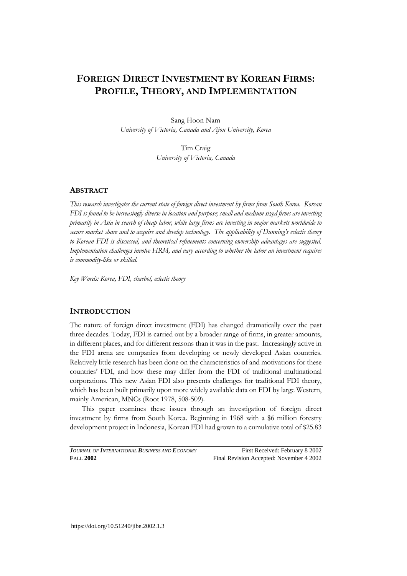# **FOREIGN DIRECT INVESTMENT BY KOREAN FIRMS: PROFILE, THEORY, AND IMPLEMENTATION**

Sang Hoon Nam *University of Victoria, Canada and Ajou University, Korea* 

> Tim Craig *University of Victoria, Canada*

# **ABSTRACT**

*This research investigates the current state of foreign direct investment by firms from South Korea. Korean FDI is found to be increasingly diverse in location and purpose; small and medium sized firms are investing primarily in Asia in search of cheap labor, while large firms are investing in major markets worldwide to secure market share and to acquire and develop technology. The applicability of Dunning's eclectic theory to Korean FDI is discussed, and theoretical refinements concerning ownership advantages are suggested. Implementation challenges involve HRM, and vary according to whether the labor an investment requires is commodity-like or skilled.* 

*Key Words: Korea, FDI, chaebol, eclectic theory* 

### **INTRODUCTION**

The nature of foreign direct investment (FDI) has changed dramatically over the past three decades. Today, FDI is carried out by a broader range of firms, in greater amounts, in different places, and for different reasons than it was in the past. Increasingly active in the FDI arena are companies from developing or newly developed Asian countries. Relatively little research has been done on the characteristics of and motivations for these countries' FDI, and how these may differ from the FDI of traditional multinational corporations. This new Asian FDI also presents challenges for traditional FDI theory, which has been built primarily upon more widely available data on FDI by large Western, mainly American, MNCs (Root 1978, 508-509).

This paper examines these issues through an investigation of foreign direct investment by firms from South Korea. Beginning in 1968 with a \$6 million forestry development project in Indonesia, Korean FDI had grown to a cumulative total of \$25.83

*JOURNAL OF INTERNATIONAL BUSINESS AND ECONOMY* First Received: February 8 2002 **F**ALL **2002** Final Revision Accepted: November 4 2002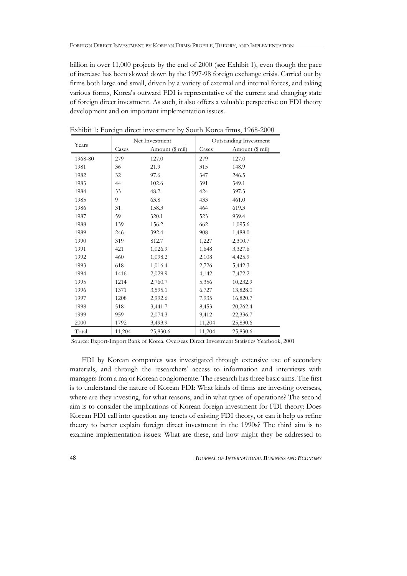billion in over 11,000 projects by the end of 2000 (see Exhibit 1), even though the pace of increase has been slowed down by the 1997-98 foreign exchange crisis. Carried out by firms both large and small, driven by a variety of external and internal forces, and taking various forms, Korea's outward FDI is representative of the current and changing state of foreign direct investment. As such, it also offers a valuable perspective on FDI theory development and on important implementation issues.

| Years   | Net Investment |                 | Outstanding Investment |                 |  |
|---------|----------------|-----------------|------------------------|-----------------|--|
|         | Cases          | Amount (\$ mil) | Cases                  | Amount (\$ mil) |  |
| 1968-80 | 279            | 127.0           | 279                    | 127.0           |  |
| 1981    | 36             | 21.9            | 315                    | 148.9           |  |
| 1982    | 32             | 97.6            | 347                    | 246.5           |  |
| 1983    | 44             | 102.6           | 391                    | 349.1           |  |
| 1984    | 33             | 48.2            | 424                    | 397.3           |  |
| 1985    | 9              | 63.8            | 433                    | 461.0           |  |
| 1986    | 31             | 158.3           | 464                    | 619.3           |  |
| 1987    | 59             | 320.1           | 523                    | 939.4           |  |
| 1988    | 139            | 156.2           | 662                    | 1,095.6         |  |
| 1989    | 246            | 392.4           | 908                    | 1,488.0         |  |
| 1990    | 319            | 812.7           | 1,227                  | 2,300.7         |  |
| 1991    | 421            | 1,026.9         | 1,648                  | 3,327.6         |  |
| 1992    | 460            | 1,098.2         | 2,108                  | 4,425.9         |  |
| 1993    | 618            | 1,016.4         | 2,726                  | 5,442.3         |  |
| 1994    | 1416           | 2,029.9         | 4,142                  | 7,472.2         |  |
| 1995    | 1214           | 2,760.7         | 5,356                  | 10,232.9        |  |
| 1996    | 1371           | 3,595.1         | 6,727                  | 13,828.0        |  |
| 1997    | 1208           | 2,992.6         | 7,935                  | 16,820.7        |  |
| 1998    | 518            | 3,441.7         | 8,453                  | 20,262.4        |  |
| 1999    | 959            | 2,074.3         | 9,412                  | 22,336.7        |  |
| 2000    | 1792           | 3,493.9         | 11,204                 | 25,830.6        |  |
| Total   | 11,204         | 25,830.6        | 11,204                 | 25,830.6        |  |

Exhibit 1: Foreign direct investment by South Korea firms, 1968-2000

Source: Export-Import Bank of Korea. Overseas Direct Investment Statistics Yearbook, 2001

FDI by Korean companies was investigated through extensive use of secondary materials, and through the researchers' access to information and interviews with managers from a major Korean conglomerate. The research has three basic aims. The first is to understand the nature of Korean FDI: What kinds of firms are investing overseas, where are they investing, for what reasons, and in what types of operations? The second aim is to consider the implications of Korean foreign investment for FDI theory: Does Korean FDI call into question any tenets of existing FDI theory, or can it help us refine theory to better explain foreign direct investment in the 1990s? The third aim is to examine implementation issues: What are these, and how might they be addressed to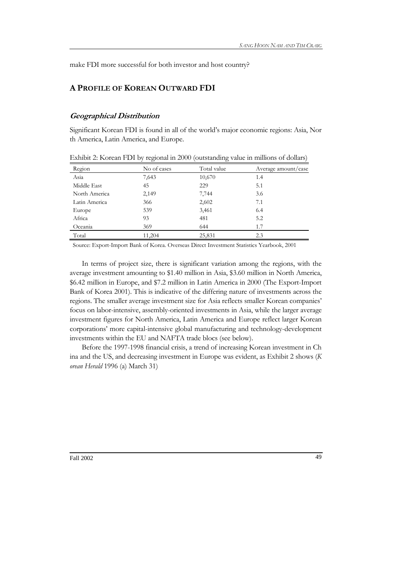make FDI more successful for both investor and host country?

# **A PROFILE OF KOREAN OUTWARD FDI**

# **Geographical Distribution**

Significant Korean FDI is found in all of the world's major economic regions: Asia, Nor th America, Latin America, and Europe.

| Region        | No of cases | Total value | Average amount/case |
|---------------|-------------|-------------|---------------------|
| Asia          | 7,643       | 10,670      | 1.4                 |
| Middle East   | 45          | 229         | 5.1                 |
| North America | 2,149       | 7,744       | 3.6                 |
| Latin America | 366         | 2,602       | 7.1                 |
| Europe        | 539         | 3,461       | 6.4                 |
| Africa        | 93          | 481         | 5.2                 |
| Oceania       | 369         | 644         | 1.7                 |
| Total         | 11,204      | 25,831      | 2.3                 |

Exhibit 2: Korean FDI by regional in 2000 (outstanding value in millions of dollars)

Source: Export-Import Bank of Korea. Overseas Direct Investment Statistics Yearbook, 2001

In terms of project size, there is significant variation among the regions, with the average investment amounting to \$1.40 million in Asia, \$3.60 million in North America, \$6.42 million in Europe, and \$7.2 million in Latin America in 2000 (The Export-Import Bank of Korea 2001). This is indicative of the differing nature of investments across the regions. The smaller average investment size for Asia reflects smaller Korean companies' focus on labor-intensive, assembly-oriented investments in Asia, while the larger average investment figures for North America, Latin America and Europe reflect larger Korean corporations' more capital-intensive global manufacturing and technology-development investments within the EU and NAFTA trade blocs (see below).

Before the 1997-1998 financial crisis, a trend of increasing Korean investment in Ch ina and the US, and decreasing investment in Europe was evident, as Exhibit 2 shows (*K orean Herald* 1996 (a) March 31)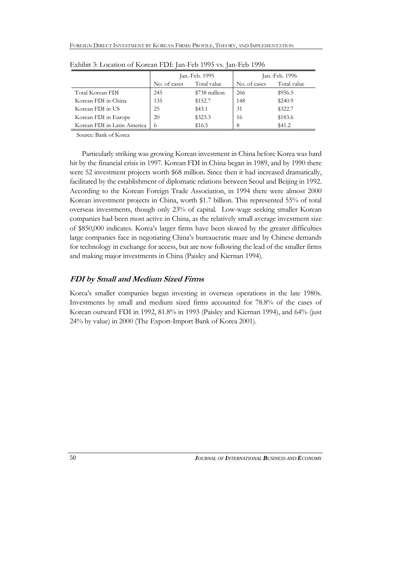|                             | Jan.-Feb. 1995 |               | Jan.-Feb. 1996 |             |
|-----------------------------|----------------|---------------|----------------|-------------|
|                             | No. of cases   | Total value   | No. of cases   | Total value |
| Total Korean FDI            | 245            | \$738 million | 266            | \$956.5     |
| Korean FDI in China         | 135            | \$152.7       | 148            | \$240.9     |
| Korean FDI in US            | 25             | \$43.1        | 31             | \$322.7     |
| Korean FDI in Europe        | 20             | \$323.3       | 16             | \$183.6     |
| Korean FDI in Latin America | $\sigma$       | \$16.5        | 8              | \$41.2      |

Exhibit 3: Location of Korean FDI: Jan-Feb 1995 vs. Jan-Feb 1996

Source: Bank of Korea

Particularly striking was growing Korean investment in China before Korea was hard hit by the financial crisis in 1997. Korean FDI in China began in 1989, and by 1990 there were 52 investment projects worth \$68 million. Since then it had increased dramatically, facilitated by the establishment of diplomatic relations between Seoul and Beijing in 1992. According to the Korean Foreign Trade Association, in 1994 there were almost 2000 Korean investment projects in China, worth \$1.7 billion. This represented 55% of total overseas investments, though only 23% of capital. Low-wage seeking smaller Korean companies had been most active in China, as the relatively small average investment size of \$850,000 indicates. Korea's larger firms have been slowed by the greater difficulties large companies face in negotiating China's bureaucratic maze and by Chinese demands for technology in exchange for access, but are now following the lead of the smaller firms and making major investments in China (Paisley and Kiernan 1994).

### **FDI by Small and Medium Sized Firms**

Korea's smaller companies began investing in overseas operations in the late 1980s. Investments by small and medium sized firms accounted for 78.8% of the cases of Korean outward FDI in 1992, 81.8% in 1993 (Paisley and Kiernan 1994), and 64% (just 24% by value) in 2000 (The Export-Import Bank of Korea 2001).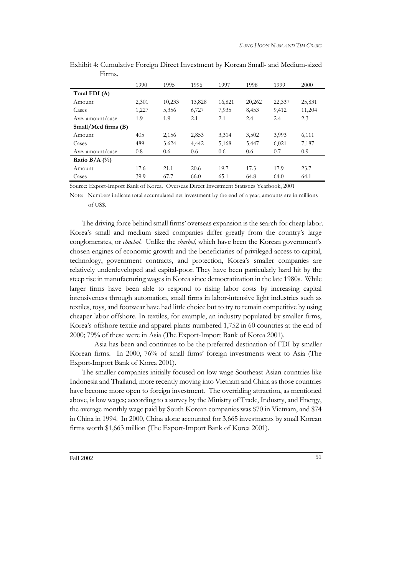| * *******           |       |        |        |        |        |        |        |
|---------------------|-------|--------|--------|--------|--------|--------|--------|
|                     | 1990  | 1995   | 1996   | 1997   | 1998   | 1999   | 2000   |
| Total FDI (A)       |       |        |        |        |        |        |        |
| Amount              | 2,301 | 10,233 | 13,828 | 16,821 | 20,262 | 22,337 | 25,831 |
| Cases               | 1,227 | 5,356  | 6,727  | 7,935  | 8,453  | 9,412  | 11,204 |
| Ave. amount/case    | 1.9   | 1.9    | 2.1    | 2.1    | 2.4    | 2.4    | 2.3    |
| Small/Med firms (B) |       |        |        |        |        |        |        |
| Amount              | 405   | 2,156  | 2,853  | 3,314  | 3,502  | 3,993  | 6,111  |
| Cases               | 489   | 3,624  | 4,442  | 5,168  | 5,447  | 6,021  | 7,187  |
| Ave. amount/case    | 0.8   | 0.6    | 0.6    | 0.6    | 0.6    | 0.7    | 0.9    |
| Ratio B/A $(\%$     |       |        |        |        |        |        |        |
| Amount              | 17.6  | 21.1   | 20.6   | 19.7   | 17.3   | 17.9   | 23.7   |
| Cases               | 39.9  | 67.7   | 66.0   | 65.1   | 64.8   | 64.0   | 64.1   |

Exhibit 4: Cumulative Foreign Direct Investment by Korean Small- and Medium-sized Firms.

Source: Export-Import Bank of Korea. Overseas Direct Investment Statistics Yearbook, 2001

Note: Numbers indicate total accumulated net investment by the end of a year; amounts are in millions of US\$.

The driving force behind small firms' overseas expansion is the search for cheap labor. Korea's small and medium sized companies differ greatly from the country's large conglomerates, or *chaebol*. Unlike the *chaebol*, which have been the Korean government's chosen engines of economic growth and the beneficiaries of privileged access to capital, technology, government contracts, and protection, Korea's smaller companies are relatively underdeveloped and capital-poor. They have been particularly hard hit by the steep rise in manufacturing wages in Korea since democratization in the late 1980s. While larger firms have been able to respond to rising labor costs by increasing capital intensiveness through automation, small firms in labor-intensive light industries such as textiles, toys, and footwear have had little choice but to try to remain competitive by using cheaper labor offshore. In textiles, for example, an industry populated by smaller firms, Korea's offshore textile and apparel plants numbered 1,752 in 60 countries at the end of 2000; 79% of these were in Asia (The Export-Import Bank of Korea 2001).

 Asia has been and continues to be the preferred destination of FDI by smaller Korean firms. In 2000, 76% of small firms' foreign investments went to Asia (The Export-Import Bank of Korea 2001).

The smaller companies initially focused on low wage Southeast Asian countries like Indonesia and Thailand, more recently moving into Vietnam and China as those countries have become more open to foreign investment. The overriding attraction, as mentioned above, is low wages; according to a survey by the Ministry of Trade, Industry, and Energy, the average monthly wage paid by South Korean companies was \$70 in Vietnam, and \$74 in China in 1994. In 2000, China alone accounted for 3,665 investments by small Korean firms worth \$1,663 million (The Export-Import Bank of Korea 2001).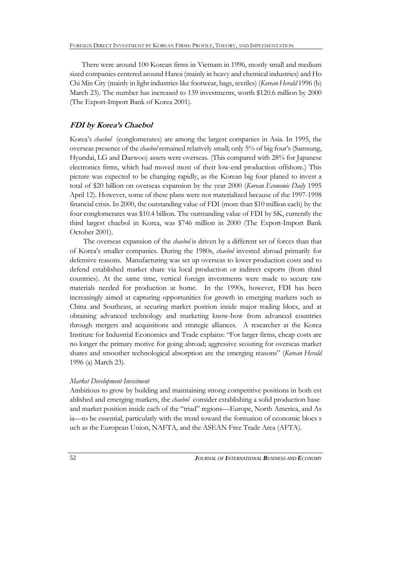There were around 100 Korean firms in Vietnam in 1996, mostly small and medium sized companies centered around Hanoi (mainly in heavy and chemical industries) and Ho Chi Min City (mainly in light industries like footwear, bags, textiles) (*Korean Herald* 1996 (b) March 23). The number has increased to 139 investments, worth \$120.6 million by 2000 (The Export-Import Bank of Korea 2001).

### **FDI by Korea's Chaebol**

Korea's *chaebol* (conglomerates) are among the largest companies in Asia. In 1995, the overseas presence of the *chaebol* remained relatively small; only 5% of big four's (Samsung, Hyundai, LG and Daewoo) assets were overseas. (This compared with 28% for Japanese electronics firms, which had moved most of their low-end production offshore.) This picture was expected to be changing rapidly, as the Korean big four planed to invest a total of \$20 billion on overseas expansion by the year 2000 (*Korean Economic Daily* 1995 April 12). However, some of these plans were not materialized because of the 1997-1998 financial crisis. In 2000, the outstanding value of FDI (more than \$10 million each) by the four conglomerates was \$10.4 billion. The outstanding value of FDI by SK, currently the third largest chaebol in Korea, was \$746 million in 2000 (The Export-Import Bank October 2001).

 The overseas expansion of the *chaebol* is driven by a different set of forces than that of Korea's smaller companies. During the 1980s, *chaebol* invested abroad primarily for defensive reasons. Manufacturing was set up overseas to lower production costs and to defend established market share via local production or indirect exports (from third countries). At the same time, vertical foreign investments were made to secure raw materials needed for production at home. In the 1990s, however, FDI has been increasingly aimed at capturing opportunities for growth in emerging markets such as China and Southeast, at securing market position inside major trading blocs, and at obtaining advanced technology and marketing know-how from advanced countries through mergers and acquisitions and strategic alliances. A researcher at the Korea Institute for Industrial Economics and Trade explains: "For larger firms, cheap costs are no longer the primary motive for going abroad; aggressive scouting for overseas market shares and smoother technological absorption are the emerging reasons" (*Korean Herald* 1996 (a) March 23).

### *Market Development Investment*

Ambitious to grow by building and maintaining strong competitive positions in both est ablished and emerging markets, the *chaebol* consider establishing a solid production base and market position inside each of the "triad" regions—Europe, North America, and As ia—to be essential, particularly with the trend toward the formation of economic blocs s uch as the European Union, NAFTA, and the ASEAN Free Trade Area (AFTA).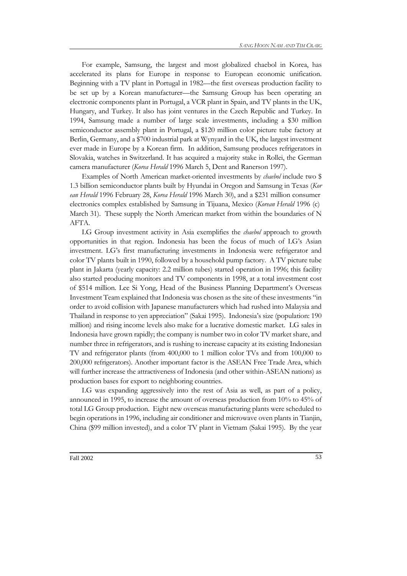For example, Samsung, the largest and most globalized chaebol in Korea, has accelerated its plans for Europe in response to European economic unification. Beginning with a TV plant in Portugal in 1982—the first overseas production facility to be set up by a Korean manufacturer—the Samsung Group has been operating an electronic components plant in Portugal, a VCR plant in Spain, and TV plants in the UK, Hungary, and Turkey. It also has joint ventures in the Czech Republic and Turkey. In 1994, Samsung made a number of large scale investments, including a \$30 million semiconductor assembly plant in Portugal, a \$120 million color picture tube factory at Berlin, Germany, and a \$700 industrial park at Wynyard in the UK, the largest investment ever made in Europe by a Korean firm. In addition, Samsung produces refrigerators in Slovakia, watches in Switzerland. It has acquired a majority stake in Rollei, the German camera manufacturer (*Korea Herald* 1996 March 5, Dent and Ranerson 1997).

Examples of North American market-oriented investments by *chaebol* include two \$ 1.3 billion semiconductor plants built by Hyundai in Oregon and Samsung in Texas (*Kor ean Herald* 1996 February 28, *Korea Herald* 1996 March 30), and a \$231 million consumer electronics complex established by Samsung in Tijuana, Mexico (*Korean Herald* 1996 (c) March 31). These supply the North American market from within the boundaries of N AFTA.

LG Group investment activity in Asia exemplifies the *chaebol* approach to growth opportunities in that region. Indonesia has been the focus of much of LG's Asian investment. LG's first manufacturing investments in Indonesia were refrigerator and color TV plants built in 1990, followed by a household pump factory. A TV picture tube plant in Jakarta (yearly capacity: 2.2 million tubes) started operation in 1996; this facility also started producing monitors and TV components in 1998, at a total investment cost of \$514 million. Lee Si Yong, Head of the Business Planning Department's Overseas Investment Team explained that Indonesia was chosen as the site of these investments "in order to avoid collision with Japanese manufacturers which had rushed into Malaysia and Thailand in response to yen appreciation" (Sakai 1995). Indonesia's size (population: 190 million) and rising income levels also make for a lucrative domestic market. LG sales in Indonesia have grown rapidly; the company is number two in color TV market share, and number three in refrigerators, and is rushing to increase capacity at its existing Indonesian TV and refrigerator plants (from 400,000 to 1 million color TVs and from 100,000 to 200,000 refrigerators). Another important factor is the ASEAN Free Trade Area, which will further increase the attractiveness of Indonesia (and other within-ASEAN nations) as production bases for export to neighboring countries.

LG was expanding aggressively into the rest of Asia as well, as part of a policy, announced in 1995, to increase the amount of overseas production from 10% to 45% of total LG Group production. Eight new overseas manufacturing plants were scheduled to begin operations in 1996, including air conditioner and microwave oven plants in Tianjin, China (\$99 million invested), and a color TV plant in Vietnam (Sakai 1995). By the year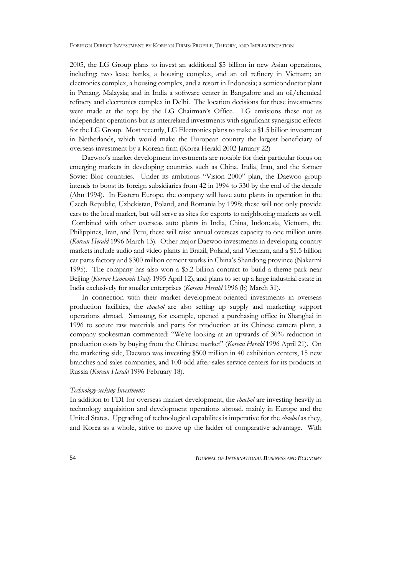2005, the LG Group plans to invest an additional \$5 billion in new Asian operations, including: two lease banks, a housing complex, and an oil refinery in Vietnam; an electronics complex, a housing complex, and a resort in Indonesia; a semiconductor plant in Penang, Malaysia; and in India a software center in Bangadore and an oil/chemical refinery and electronics complex in Delhi. The location decisions for these investments were made at the top: by the LG Chairman's Office. LG envisions these not as independent operations but as interrelated investments with significant synergistic effects for the LG Group. Most recently, LG Electronics plans to make a \$1.5 billion investment in Netherlands, which would make the European country the largest beneficiary of overseas investment by a Korean firm (Korea Herald 2002 January 22)

Daewoo's market development investments are notable for their particular focus on emerging markets in developing countries such as China, India, Iran, and the former Soviet Bloc countries. Under its ambitious "Vision 2000" plan, the Daewoo group intends to boost its foreign subsidiaries from 42 in 1994 to 330 by the end of the decade (Ahn 1994). In Eastern Europe, the company will have auto plants in operation in the Czech Republic, Uzbekistan, Poland, and Romania by 1998; these will not only provide cars to the local market, but will serve as sites for exports to neighboring markets as well. Combined with other overseas auto plants in India, China, Indonesia, Vietnam, the Philippines, Iran, and Peru, these will raise annual overseas capacity to one million units (*Korean Herald* 1996 March 13). Other major Daewoo investments in developing country markets include audio and video plants in Brazil, Poland, and Vietnam, and a \$1.5 billion car parts factory and \$300 million cement works in China's Shandong province (Nakarmi 1995). The company has also won a \$5.2 billion contract to build a theme park near Beijing (*Korean Economic Daily* 1995 April 12), and plans to set up a large industrial estate in India exclusively for smaller enterprises (*Korean Herald* 1996 (b) March 31).

In connection with their market development-oriented investments in overseas production facilities, the *chaebol* are also setting up supply and marketing support operations abroad. Samsung, for example, opened a purchasing office in Shanghai in 1996 to secure raw materials and parts for production at its Chinese camera plant; a company spokesman commented: "We're looking at an upwards of 30% reduction in production costs by buying from the Chinese market" (*Korean Herald* 1996 April 21). On the marketing side, Daewoo was investing \$500 million in 40 exhibition centers, 15 new branches and sales companies, and 100-odd after-sales service centers for its products in Russia (*Korean Herald* 1996 February 18).

### *Technology-seeking Investments*

In addition to FDI for overseas market development, the *chaebol* are investing heavily in technology acquisition and development operations abroad, mainly in Europe and the United States. Upgrading of technological capabilites is imperative for the *chaebol* as they, and Korea as a whole, strive to move up the ladder of comparative advantage. With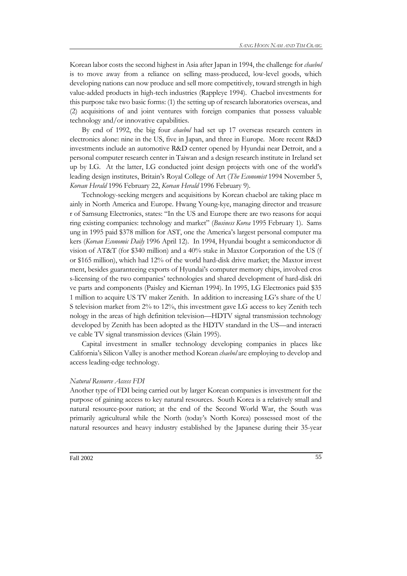Korean labor costs the second highest in Asia after Japan in 1994, the challenge for *chaebol* is to move away from a reliance on selling mass-produced, low-level goods, which developing nations can now produce and sell more competitively, toward strength in high value-added products in high-tech industries (Rappleye 1994). Chaebol investments for this purpose take two basic forms: (1) the setting up of research laboratories overseas, and (2) acquisitions of and joint ventures with foreign companies that possess valuable technology and/or innovative capabilities.

By end of 1992, the big four *chaebol* had set up 17 overseas research centers in electronics alone: nine in the US, five in Japan, and three in Europe. More recent R&D investments include an automotive R&D center opened by Hyundai near Detroit, and a personal computer research center in Taiwan and a design research institute in Ireland set up by LG. At the latter, LG conducted joint design projects with one of the world's leading design institutes, Britain's Royal College of Art (*The Economist* 1994 November 5, *Korean Herald* 1996 February 22, *Korean Herald* 1996 February 9).

Technology-seeking mergers and acquisitions by Korean chaebol are taking place m ainly in North America and Europe. Hwang Young-kye, managing director and treasure r of Samsung Electronics, states: "In the US and Europe there are two reasons for acqui ring existing companies: technology and market" (*Business Korea* 1995 February 1). Sams ung in 1995 paid \$378 million for AST, one the America's largest personal computer ma kers (*Korean Economic Daily* 1996 April 12). In 1994, Hyundai bought a semiconductor di vision of AT&T (for \$340 million) and a 40% stake in Maxtor Corporation of the US (f or \$165 million), which had 12% of the world hard-disk drive market; the Maxtor invest ment, besides guaranteeing exports of Hyundai's computer memory chips, involved cros s-licensing of the two companies' technologies and shared development of hard-disk dri ve parts and components (Paisley and Kiernan 1994). In 1995, LG Electronics paid \$35 1 million to acquire US TV maker Zenith. In addition to increasing LG's share of the U S television market from 2% to 12%, this investment gave LG access to key Zenith tech nology in the areas of high definition television—HDTV signal transmission technology developed by Zenith has been adopted as the HDTV standard in the US—and interacti ve cable TV signal transmission devices (Glain 1995).

Capital investment in smaller technology developing companies in places like California's Silicon Valley is another method Korean *chaebol* are employing to develop and access leading-edge technology.

#### *Natural Resource Access FDI*

Another type of FDI being carried out by larger Korean companies is investment for the purpose of gaining access to key natural resources. South Korea is a relatively small and natural resource-poor nation; at the end of the Second World War, the South was primarily agricultural while the North (today's North Korea) possessed most of the natural resources and heavy industry established by the Japanese during their 35-year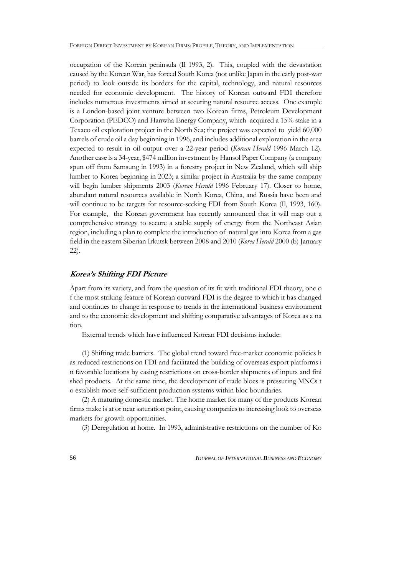occupation of the Korean peninsula (Il 1993, 2). This, coupled with the devastation caused by the Korean War, has forced South Korea (not unlike Japan in the early post-war period) to look outside its borders for the capital, technology, and natural resources needed for economic development. The history of Korean outward FDI therefore includes numerous investments aimed at securing natural resource access. One example is a London-based joint venture between two Korean firms, Petroleum Development Corporation (PEDCO) and Hanwha Energy Company, which acquired a 15% stake in a Texaco oil exploration project in the North Sea; the project was expected to yield 60,000 barrels of crude oil a day beginning in 1996, and includes additional exploration in the area expected to result in oil output over a 22-year period (*Korean Herald* 1996 March 12). Another case is a 34-year, \$474 million investment by Hansol Paper Company (a company spun off from Samsung in 1993) in a forestry project in New Zealand, which will ship lumber to Korea beginning in 2023; a similar project in Australia by the same company will begin lumber shipments 2003 (*Korean Herald* 1996 February 17). Closer to home, abundant natural resources available in North Korea, China, and Russia have been and will continue to be targets for resource-seeking FDI from South Korea (II, 1993, 160). For example, the Korean government has recently announced that it will map out a comprehensive strategy to secure a stable supply of energy from the Northeast Asian region, including a plan to complete the introduction of natural gas into Korea from a gas field in the eastern Siberian Irkutsk between 2008 and 2010 (*Korea Herald* 2000 (b) January 22).

### **Korea's Shifting FDI Picture**

Apart from its variety, and from the question of its fit with traditional FDI theory, one o f the most striking feature of Korean outward FDI is the degree to which it has changed and continues to change in response to trends in the international business environment and to the economic development and shifting comparative advantages of Korea as a na tion.

External trends which have influenced Korean FDI decisions include:

(1) Shifting trade barriers. The global trend toward free-market economic policies h as reduced restrictions on FDI and facilitated the building of overseas export platforms i n favorable locations by easing restrictions on cross-border shipments of inputs and fini shed products. At the same time, the development of trade blocs is pressuring MNCs t o establish more self-sufficient production systems within bloc boundaries.

(2) A maturing domestic market. The home market for many of the products Korean firms make is at or near saturation point, causing companies to increasing look to overseas markets for growth opportunities.

(3) Deregulation at home. In 1993, administrative restrictions on the number of Ko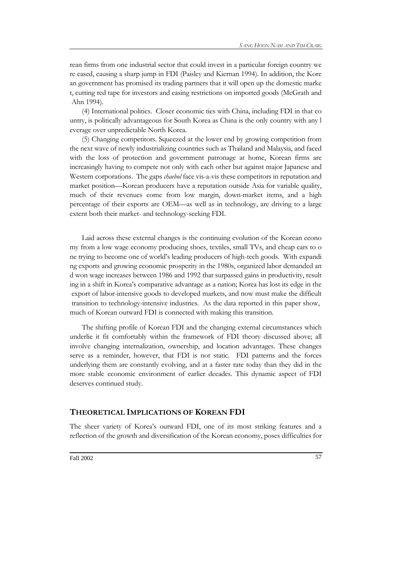rean firms from one industrial sector that could invest in a particular foreign country we re eased, causing a sharp jump in FDI (Paisley and Kiernan 1994). In addition, the Kore an government has promised its trading partners that it will open up the domestic marke t, cutting red tape for investors and easing restrictions on imported goods (McGrath and Ahn 1994).

(4) International politics. Closer economic ties with China, including FDI in that co untry, is politically advantageous for South Korea as China is the only country with any l everage over unpredictable North Korea.

(5) Changing competitors. Squeezed at the lower end by growing competition from the next wave of newly industrializing countries such as Thailand and Malaysia, and faced with the loss of protection and government patronage at home, Korean firms are increasingly having to compete not only with each other but against major Japanese and Western corporations. The gaps *chaebol* face vis-a-vis these competitors in reputation and market position—Korean producers have a reputation outside Asia for variable quality, much of their revenues come from low margin, down-market items, and a high percentage of their exports are OEM—as well as in technology, are driving to a large extent both their market- and technology-seeking FDI.

Laid across these external changes is the continuing evolution of the Korean econo my from a low wage economy producing shoes, textiles, small TVs, and cheap cars to o ne trying to become one of world's leading producers of high-tech goods. With expandi ng exports and growing economic prosperity in the 1980s, organized labor demanded an d won wage increases between 1986 and 1992 that surpassed gains in productivity, result ing in a shift in Korea's comparative advantage as a nation; Korea has lost its edge in the export of labor-intensive goods to developed markets, and now must make the difficult transition to technology-intensive industries. As the data reported in this paper show, much of Korean outward FDI is connected with making this transition.

The shifting profile of Korean FDI and the changing external circumstances which underlie it fit comfortably within the framework of FDI theory discussed above; all involve changing internalization, ownership, and location advantages. These changes serve as a reminder, however, that FDI is not static. FDI patterns and the forces underlying them are constantly evolving, and at a faster rate today than they did in the more stable economic environment of earlier decades. This dynamic aspect of FDI deserves continued study.

### **THEORETICAL IMPLICATIONS OF KOREAN FDI**

The sheer variety of Korea's outward FDI, one of its most striking features and a reflection of the growth and diversification of the Korean economy, poses difficulties for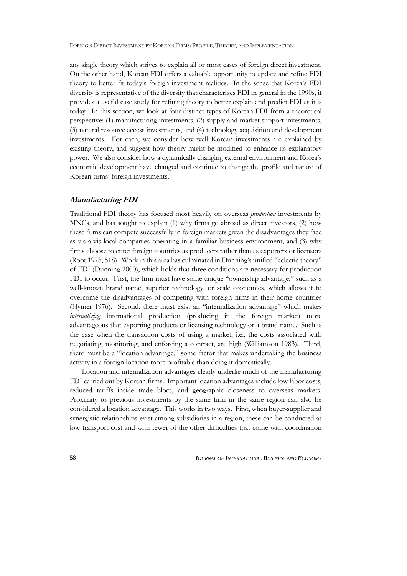any single theory which strives to explain all or most cases of foreign direct investment. On the other hand, Korean FDI offers a valuable opportunity to update and refine FDI theory to better fit today's foreign investment realities. In the sense that Korea's FDI diversity is representative of the diversity that characterizes FDI in general in the 1990s, it provides a useful case study for refining theory to better explain and predict FDI as it is today. In this section, we look at four distinct types of Korean FDI from a theoretical perspective: (1) manufacturing investments, (2) supply and market support investments, (3) natural resource access investments, and (4) technology acquisition and development investments. For each, we consider how well Korean investments are explained by existing theory, and suggest how theory might be modified to enhance its explanatory power. We also consider how a dynamically changing external environment and Korea's economic development have changed and continue to change the profile and nature of Korean firms' foreign investments.

### **Manufacturing FDI**

Traditional FDI theory has focused most heavily on overseas *production* investments by MNCs, and has sought to explain (1) why firms go abroad as direct investors, (2) how these firms can compete successfully in foreign markets given the disadvantages they face as vis-a-vis local companies operating in a familiar business environment, and (3) why firms choose to enter foreign countries as producers rather than as exporters or licensors (Root 1978, 518). Work in this area has culminated in Dunning's unified "eclectic theory" of FDI (Dunning 2000), which holds that three conditions are necessary for production FDI to occur. First, the firm must have some unique "ownership advantage," such as a well-known brand name, superior technology, or scale economies, which allows it to overcome the disadvantages of competing with foreign firms in their home countries (Hymer 1976). Second, there must exist an "internalization advantage" which makes *internalizing* international production (producing in the foreign market) more advantageous that exporting products or licensing technology or a brand name. Such is the case when the transaction costs of using a market, i.e., the costs associated with negotiating, monitoring, and enforcing a contract, are high (Williamson 1983). Third, there must be a "location advantage," some factor that makes undertaking the business activity in a foreign location more profitable than doing it domestically.

Location and internalization advantages clearly underlie much of the manufacturing FDI carried out by Korean firms. Important location advantages include low labor costs, reduced tariffs inside trade blocs, and geographic closeness to overseas markets. Proximity to previous investments by the same firm in the same region can also be considered a location advantage. This works in two ways. First, when buyer-supplier and synergistic relationships exist among subsidiaries in a region, these can be conducted at low transport cost and with fewer of the other difficulties that come with coordination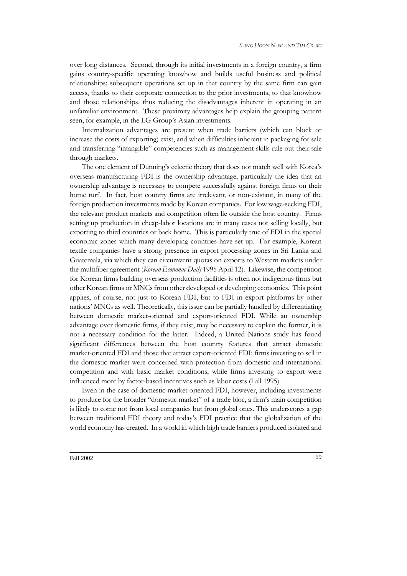over long distances. Second, through its initial investments in a foreign country, a firm gains country-specific operating knowhow and builds useful business and political relationships; subsequent operations set up in that country by the same firm can gain access, thanks to their corporate connection to the prior investments, to that knowhow and those relationships, thus reducing the disadvantages inherent in operating in an unfamiliar environment. These proximity advantages help explain the grouping pattern seen, for example, in the LG Group's Asian investments.

Internalization advantages are present when trade barriers (which can block or increase the costs of exporting) exist, and when difficulties inherent in packaging for sale and transferring "intangible" competencies such as management skills rule out their sale through markets.

The one element of Dunning's eclectic theory that does not match well with Korea's overseas manufacturing FDI is the ownership advantage, particularly the idea that an ownership advantage is necessary to compete successfully against foreign firms on their home turf. In fact, host country firms are irrelevant, or non-existant, in many of the foreign production investments made by Korean companies. For low wage-seeking FDI, the relevant product markets and competition often lie outside the host country. Firms setting up production in cheap-labor locations are in many cases not selling locally, but exporting to third countries or back home. This is particularly true of FDI in the special economic zones which many developing countries have set up. For example, Korean textile companies have a strong presence in export processing zones in Sri Lanka and Guatemala, via which they can circumvent quotas on exports to Western markets under the multifiber agreement (*Korean Economic Daily* 1995 April 12). Likewise, the competition for Korean firms building overseas production facilities is often not indigenous firms but other Korean firms or MNCs from other developed or developing economies. This point applies, of course, not just to Korean FDI, but to FDI in export platforms by other nations' MNCs as well. Theoretically, this issue can be partially handled by differentiating between domestic market-oriented and export-oriented FDI. While an ownership advantage over domestic firms, if they exist, may be necessary to explain the former, it is not a necessary condition for the latter. Indeed, a United Nations study has found significant differences between the host country features that attract domestic market-oriented FDI and those that attract export-oriented FDI: firms investing to sell in the domestic market were concerned with protection from domestic and international competition and with basic market conditions, while firms investing to export were influenced more by factor-based incentives such as labor costs (Lall 1995).

Even in the case of domestic-market oriented FDI, however, including investments to produce for the broader "domestic market" of a trade bloc, a firm's main competition is likely to come not from local companies but from global ones. This underscores a gap between traditional FDI theory and today's FDI practice that the globalization of the world economy has created. In a world in which high trade barriers produced isolated and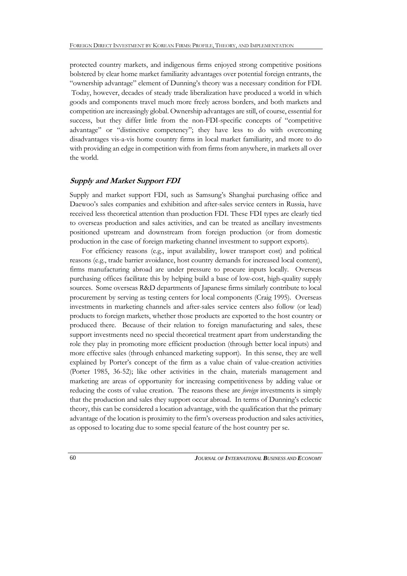protected country markets, and indigenous firms enjoyed strong competitive positions bolstered by clear home market familiarity advantages over potential foreign entrants, the "ownership advantage" element of Dunning's theory was a necessary condition for FDI. Today, however, decades of steady trade liberalization have produced a world in which goods and components travel much more freely across borders, and both markets and competition are increasingly global. Ownership advantages are still, of course, essential for success, but they differ little from the non-FDI-specific concepts of "competitive advantage" or "distinctive competency"; they have less to do with overcoming disadvantages vis-a-vis home country firms in local market familiarity, and more to do with providing an edge in competition with from firms from anywhere, in markets all over the world.

# **Supply and Market Support FDI**

Supply and market support FDI, such as Samsung's Shanghai purchasing office and Daewoo's sales companies and exhibition and after-sales service centers in Russia, have received less theoretical attention than production FDI. These FDI types are clearly tied to overseas production and sales activities, and can be treated as ancillary investments positioned upstream and downstream from foreign production (or from domestic production in the case of foreign marketing channel investment to support exports).

For efficiency reasons (e.g., input availability, lower transport cost) and political reasons (e.g., trade barrier avoidance, host country demands for increased local content), firms manufacturing abroad are under pressure to procure inputs locally. Overseas purchasing offices facilitate this by helping build a base of low-cost, high-quality supply sources. Some overseas R&D departments of Japanese firms similarly contribute to local procurement by serving as testing centers for local components (Craig 1995). Overseas investments in marketing channels and after-sales service centers also follow (or lead) products to foreign markets, whether those products are exported to the host country or produced there. Because of their relation to foreign manufacturing and sales, these support investments need no special theoretical treatment apart from understanding the role they play in promoting more efficient production (through better local inputs) and more effective sales (through enhanced marketing support). In this sense, they are well explained by Porter's concept of the firm as a value chain of value-creation activities (Porter 1985, 36-52); like other activities in the chain, materials management and marketing are areas of opportunity for increasing competitiveness by adding value or reducing the costs of value creation. The reasons these are *foreign* investments is simply that the production and sales they support occur abroad. In terms of Dunning's eclectic theory, this can be considered a location advantage, with the qualification that the primary advantage of the location is proximity to the firm's overseas production and sales activities, as opposed to locating due to some special feature of the host country per se.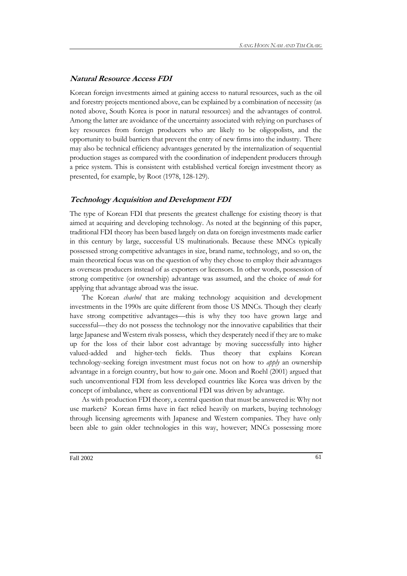# **Natural Resource Access FDI**

Korean foreign investments aimed at gaining access to natural resources, such as the oil and forestry projects mentioned above, can be explained by a combination of necessity (as noted above, South Korea is poor in natural resources) and the advantages of control. Among the latter are avoidance of the uncertainty associated with relying on purchases of key resources from foreign producers who are likely to be oligopolists, and the opportunity to build barriers that prevent the entry of new firms into the industry. There may also be technical efficiency advantages generated by the internalization of sequential production stages as compared with the coordination of independent producers through a price system. This is consistent with established vertical foreign investment theory as presented, for example, by Root (1978, 128-129).

### **Technology Acquisition and Development FDI**

The type of Korean FDI that presents the greatest challenge for existing theory is that aimed at acquiring and developing technology. As noted at the beginning of this paper, traditional FDI theory has been based largely on data on foreign investments made earlier in this century by large, successful US multinationals. Because these MNCs typically possessed strong competitive advantages in size, brand name, technology, and so on, the main theoretical focus was on the question of why they chose to employ their advantages as overseas producers instead of as exporters or licensors. In other words, possession of strong competitive (or ownership) advantage was assumed, and the choice of *mode* for applying that advantage abroad was the issue.

The Korean *chaebol* that are making technology acquisition and development investments in the 1990s are quite different from those US MNCs. Though they clearly have strong competitive advantages—this is why they too have grown large and successful—they do not possess the technology nor the innovative capabilities that their large Japanese and Western rivals possess, which they desperately need if they are to make up for the loss of their labor cost advantage by moving successfully into higher valued-added and higher-tech fields. Thus theory that explains Korean technology-seeking foreign investment must focus not on how to *apply* an ownership advantage in a foreign country, but how to *gain* one. Moon and Roehl (2001) argued that such unconventional FDI from less developed countries like Korea was driven by the concept of imbalance, where as conventional FDI was driven by advantage.

As with production FDI theory, a central question that must be answered is: Why not use markets? Korean firms have in fact relied heavily on markets, buying technology through licensing agreements with Japanese and Western companies. They have only been able to gain older technologies in this way, however; MNCs possessing more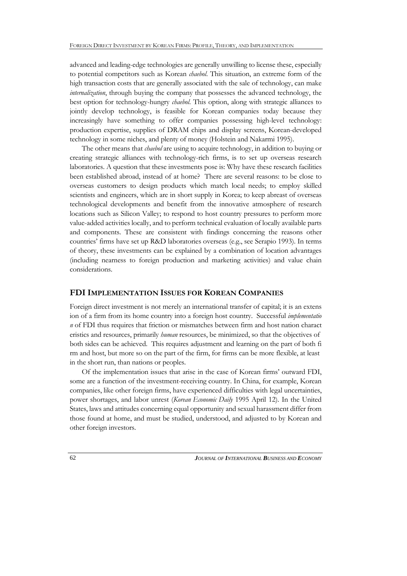advanced and leading-edge technologies are generally unwilling to license these, especially to potential competitors such as Korean *chaebol*. This situation, an extreme form of the high transaction costs that are generally associated with the sale of technology, can make *internalization*, through buying the company that possesses the advanced technology, the best option for technology-hungry *chaebol*. This option, along with strategic alliances to jointly develop technology, is feasible for Korean companies today because they increasingly have something to offer companies possessing high-level technology: production expertise, supplies of DRAM chips and display screens, Korean-developed technology in some niches, and plenty of money (Holstein and Nakarmi 1995).

The other means that *chaebol* are using to acquire technology, in addition to buying or creating strategic alliances with technology-rich firms, is to set up overseas research laboratories. A question that these investments pose is: Why have these research facilities been established abroad, instead of at home? There are several reasons: to be close to overseas customers to design products which match local needs; to employ skilled scientists and engineers, which are in short supply in Korea; to keep abreast of overseas technological developments and benefit from the innovative atmosphere of research locations such as Silicon Valley; to respond to host country pressures to perform more value-added activities locally, and to perform technical evaluation of locally available parts and components. These are consistent with findings concerning the reasons other countries' firms have set up R&D laboratories overseas (e.g., see Serapio 1993). In terms of theory, these investments can be explained by a combination of location advantages (including nearness to foreign production and marketing activities) and value chain considerations.

### **FDI IMPLEMENTATION ISSUES FOR KOREAN COMPANIES**

Foreign direct investment is not merely an international transfer of capital; it is an extens ion of a firm from its home country into a foreign host country. Successful *implementatio n* of FDI thus requires that friction or mismatches between firm and host nation charact eristics and resources, primarily *human* resources, be minimized, so that the objectives of both sides can be achieved. This requires adjustment and learning on the part of both fi rm and host, but more so on the part of the firm, for firms can be more flexible, at least in the short run, than nations or peoples.

Of the implementation issues that arise in the case of Korean firms' outward FDI, some are a function of the investment-receiving country. In China, for example, Korean companies, like other foreign firms, have experienced difficulties with legal uncertainties, power shortages, and labor unrest (*Korean Economic Daily* 1995 April 12). In the United States, laws and attitudes concerning equal opportunity and sexual harassment differ from those found at home, and must be studied, understood, and adjusted to by Korean and other foreign investors.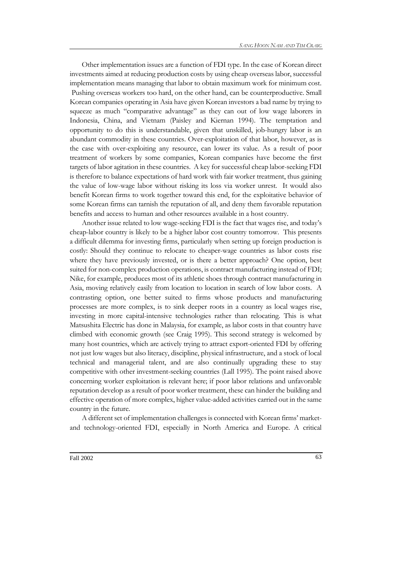Other implementation issues are a function of FDI type. In the case of Korean direct investments aimed at reducing production costs by using cheap overseas labor, successful implementation means managing that labor to obtain maximum work for minimum cost. Pushing overseas workers too hard, on the other hand, can be counterproductive. Small Korean companies operating in Asia have given Korean investors a bad name by trying to squeeze as much "comparative advantage" as they can out of low wage laborers in Indonesia, China, and Vietnam (Paisley and Kiernan 1994). The temptation and opportunity to do this is understandable, given that unskilled, job-hungry labor is an abundant commodity in these countries. Over-exploitation of that labor, however, as is the case with over-exploiting any resource, can lower its value. As a result of poor treatment of workers by some companies, Korean companies have become the first targets of labor agitation in these countries. A key for successful cheap labor-seeking FDI is therefore to balance expectations of hard work with fair worker treatment, thus gaining the value of low-wage labor without risking its loss via worker unrest. It would also benefit Korean firms to work together toward this end, for the exploitative behavior of some Korean firms can tarnish the reputation of all, and deny them favorable reputation benefits and access to human and other resources available in a host country.

Another issue related to low wage-seeking FDI is the fact that wages rise, and today's cheap-labor country is likely to be a higher labor cost country tomorrow. This presents a difficult dilemma for investing firms, particularly when setting up foreign production is costly: Should they continue to relocate to cheaper-wage countries as labor costs rise where they have previously invested, or is there a better approach? One option, best suited for non-complex production operations, is contract manufacturing instead of FDI; Nike, for example, produces most of its athletic shoes through contract manufacturing in Asia, moving relatively easily from location to location in search of low labor costs. A contrasting option, one better suited to firms whose products and manufacturing processes are more complex, is to sink deeper roots in a country as local wages rise, investing in more capital-intensive technologies rather than relocating. This is what Matsushita Electric has done in Malaysia, for example, as labor costs in that country have climbed with economic growth (see Craig 1995). This second strategy is welcomed by many host countries, which are actively trying to attract export-oriented FDI by offering not just low wages but also literacy, discipline, physical infrastructure, and a stock of local technical and managerial talent, and are also continually upgrading these to stay competitive with other investment-seeking countries (Lall 1995). The point raised above concerning worker exploitation is relevant here; if poor labor relations and unfavorable reputation develop as a result of poor worker treatment, these can hinder the building and effective operation of more complex, higher value-added activities carried out in the same country in the future.

A different set of implementation challenges is connected with Korean firms' marketand technology-oriented FDI, especially in North America and Europe. A critical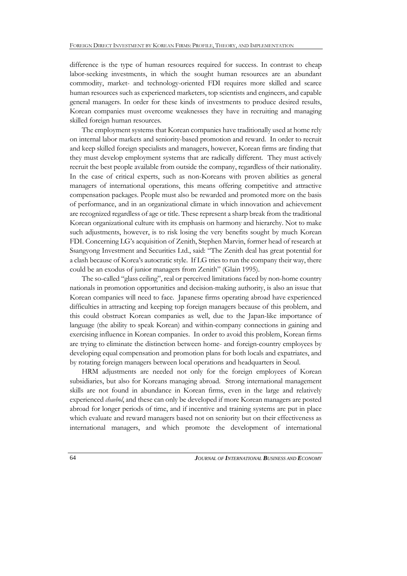difference is the type of human resources required for success. In contrast to cheap labor-seeking investments, in which the sought human resources are an abundant commodity, market- and technology-oriented FDI requires more skilled and scarce human resources such as experienced marketers, top scientists and engineers, and capable general managers. In order for these kinds of investments to produce desired results, Korean companies must overcome weaknesses they have in recruiting and managing skilled foreign human resources.

The employment systems that Korean companies have traditionally used at home rely on internal labor markets and seniority-based promotion and reward. In order to recruit and keep skilled foreign specialists and managers, however, Korean firms are finding that they must develop employment systems that are radically different. They must actively recruit the best people available from outside the company, regardless of their nationality. In the case of critical experts, such as non-Koreans with proven abilities as general managers of international operations, this means offering competitive and attractive compensation packages. People must also be rewarded and promoted more on the basis of performance, and in an organizational climate in which innovation and achievement are recognized regardless of age or title. These represent a sharp break from the traditional Korean organizational culture with its emphasis on harmony and hierarchy. Not to make such adjustments, however, is to risk losing the very benefits sought by much Korean FDI. Concerning LG's acquisition of Zenith, Stephen Marvin, former head of research at Ssangyong Investment and Securities Ltd., said: "The Zenith deal has great potential for a clash because of Korea's autocratic style. If LG tries to run the company their way, there could be an exodus of junior managers from Zenith" (Glain 1995).

The so-called "glass ceiling", real or perceived limitations faced by non-home country nationals in promotion opportunities and decision-making authority, is also an issue that Korean companies will need to face. Japanese firms operating abroad have experienced difficulties in attracting and keeping top foreign managers because of this problem, and this could obstruct Korean companies as well, due to the Japan-like importance of language (the ability to speak Korean) and within-company connections in gaining and exercising influence in Korean companies. In order to avoid this problem, Korean firms are trying to eliminate the distinction between home- and foreign-country employees by developing equal compensation and promotion plans for both locals and expatriates, and by rotating foreign managers between local operations and headquarters in Seoul.

HRM adjustments are needed not only for the foreign employees of Korean subsidiaries, but also for Koreans managing abroad. Strong international management skills are not found in abundance in Korean firms, even in the large and relatively experienced *chaebol*, and these can only be developed if more Korean managers are posted abroad for longer periods of time, and if incentive and training systems are put in place which evaluate and reward managers based not on seniority but on their effectiveness as international managers, and which promote the development of international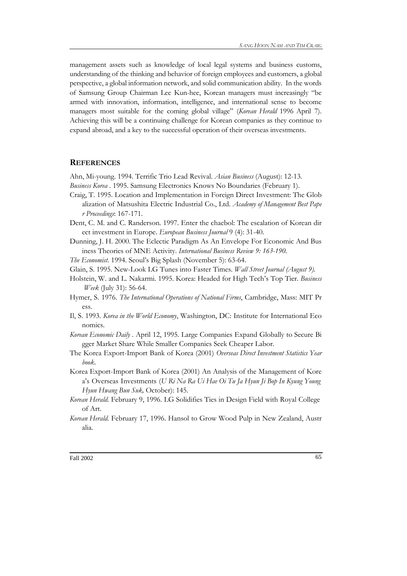management assets such as knowledge of local legal systems and business customs, understanding of the thinking and behavior of foreign employees and customers, a global perspective, a global information network, and solid communication ability. In the words of Samsung Group Chairman Lee Kun-hee, Korean managers must increasingly "be armed with innovation, information, intelligence, and international sense to become managers most suitable for the coming global village" (*Korean Herald* 1996 April 7). Achieving this will be a continuing challenge for Korean companies as they continue to expand abroad, and a key to the successful operation of their overseas investments.

### **REFERENCES**

Ahn, Mi-young. 1994. Terrific Trio Lead Revival. *Asian Business* (August): 12-13.

- *Business Korea* . 1995. Samsung Electronics Knows No Boundaries (February 1).
- Craig, T. 1995. Location and Implementation in Foreign Direct Investment: The Glob alization of Matsushita Electric Industrial Co., Ltd. *Academy of Management Best Pape r Proceedings*: 167-171.
- Dent, C. M. and C. Randerson. 1997. Enter the chaebol: The escalation of Korean dir ect investment in Europe. *European Business Journal* 9 (4): 31-40.
- Dunning, J. H. 2000. The Eclectic Paradigm As An Envelope For Economic And Bus iness Theories of MNE Activity. *International Business Review 9: 163-190.*
- *The Economist*. 1994. Seoul's Big Splash (November 5): 63-64.
- Glain, S. 1995. New-Look LG Tunes into Faster Times. *Wall Street Journal (August 9).*
- Holstein, W. and L. Nakarmi. 1995. Korea: Headed for High Tech's Top Tier. *Business Week* (July 31): 56-64.
- Hymer, S. 1976. *The International Operations of National Firms*, Cambridge, Mass: MIT Pr ess.
- Il, S. 1993. *Korea in the World Economy*, Washington, DC: Institute for International Eco nomics.
- *Korean Economic Daily* . April 12, 1995. Large Companies Expand Globally to Secure Bi gger Market Share While Smaller Companies Seek Cheaper Labor.
- The Korea Export-Import Bank of Korea (2001) *Overseas Direct Investment Statistics Year book*.
- Korea Export-Import Bank of Korea (2001) An Analysis of the Management of Kore a's Overseas Investments (*U Ri Na Ra Ui Hae Oi Tu Ja Hyun Ji Bop In Kyung Young Hyun Hwang Bun Suk,* October): 145.
- *Korean Herald.* February 9, 1996. LG Solidifies Ties in Design Field with Royal College of Art.
- *Korean Herald.* February 17, 1996. Hansol to Grow Wood Pulp in New Zealand, Austr alia.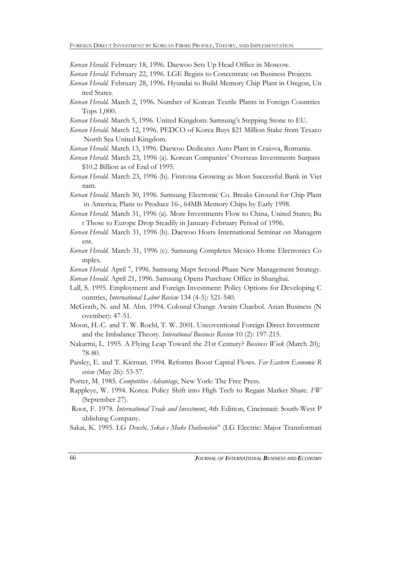*Korean Herald.* February 18, 1996. Daewoo Sets Up Head Office in Moscow.

- *Korean Herald.* February 22, 1996. LGE Begins to Concentrate on Business Projects.
- *Korean Herald.* February 28, 1996. Hyundai to Build Memory Chip Plant in Oregon, Un ited States.
- *Korean Herald.* March 2, 1996. Number of Korean Textile Plants in Foreign Countries Tops 1,000.
- *Korean Herald.* March 5, 1996. United Kingdom: Samsung's Stepping Stone to EU.
- *Korean Herald.* March 12, 1996. PEDCO of Korea Buys \$21 Million Stake from Texaco North Sea United Kingdom.
- *Korean Herald.* March 13, 1996. Daewoo Dedicates Auto Plant in Craiova, Romania.
- *Korean Herald.* March 23, 1996 (a). Korean Companies' Overseas Investments Surpass \$10.2 Billion as of End of 1995.
- *Korean Herald.* March 23, 1996 (b). Firstvina Growing as Most Successful Bank in Viet nam.
- *Korean Herald.* March 30, 1996. Samsung Electronic Co. Breaks Ground for Chip Plant in America; Plans to Produce 16-, 64MB Memory Chips by Early 1998.
- *Korean Herald.* March 31, 1996 (a). More Investments Flow to China, United States; Bu t Those to Europe Drop Steadily in January-February Period of 1996.
- *Korean Herald.* March 31, 1996 (b). Daewoo Hosts International Seminar on Managem ent.
- *Korean Herald.* March 31, 1996 (c). Samsung Completes Mexico Home Electronics Co mplex.
- *Korean Herald.* April 7, 1996. Samsung Maps Second-Phase New Management Strategy. *Korean Herald.* April 21, 1996. Samsung Opens Purchase Office in Shanghai.
- Lall, S. 1995. Employment and Foreign Investment: Policy Options for Developing C

ountries, *International Labor Review* 134 (4-5): 521-540.

- McGrath, N. and M. Ahn. 1994. Colossal Change Awaits Chaebol. Asian Business (N ovember): 47-51.
- Moon, H.-C. and T. W. Roehl, T. W. 2001. Uncoventional Foreign Direct Investment and the Imbalance Theory. *Interational Business Review* 10 (2): 197-215.
- Nakarmi, L. 1995. A Flying Leap Toward the 21st Century? *Business Week* (March 20): 78-80.
- Paisley, E. and T. Kiernan. 1994. Reforms Boost Capital Flows. *Far Eastern Economic R eview* (May 26): 53-57.
- Porter, M. 1985. *Competitive Advantage*, New York: The Free Press.
- Rappleye, W. 1994. Korea: Policy Shift into High Tech to Regain Market Share. *FW* (September 27).
- Root, F. 1978. *International Trade and Investment*, 4th Edition, Cincinnati: South-West P ublishing Company.
- Sakai, K. 1995. LG *Denshi, Sekai e Muke Daihenshin*" (LG Electric: Major Transformati